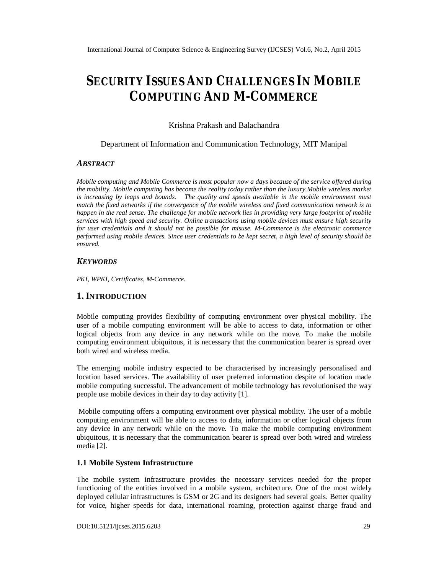# **SECURITY ISSUES AND CHALLENGES IN MOBILE COMPUTING AND M-COMMERCE**

Krishna Prakash and Balachandra

#### Department of Information and Communication Technology, MIT Manipal

#### *ABSTRACT*

*Mobile computing and Mobile Commerce is most popular now a days because of the service offered during the mobility. Mobile computing has become the reality today rather than the luxury.Mobile wireless market is increasing by leaps and bounds. The quality and speeds available in the mobile environment must match the fixed networks if the convergence of the mobile wireless and fixed communication network is to happen in the real sense. The challenge for mobile network lies in providing very large footprint of mobile services with high speed and security. Online transactions using mobile devices must ensure high security for user credentials and it should not be possible for misuse. M-Commerce is the electronic commerce performed using mobile devices. Since user credentials to be kept secret, a high level of security should be ensured.*

#### *KEYWORDS*

*PKI, WPKI, Certificates, M-Commerce.*

## **1.INTRODUCTION**

Mobile computing provides flexibility of computing environment over physical mobility. The user of a mobile computing environment will be able to access to data, information or other logical objects from any device in any network while on the move. To make the mobile computing environment ubiquitous, it is necessary that the communication bearer is spread over both wired and wireless media.

The emerging mobile industry expected to be characterised by increasingly personalised and location based services. The availability of user preferred information despite of location made mobile computing successful. The advancement of mobile technology has revolutionised the way people use mobile devices in their day to day activity [1].

Mobile computing offers a computing environment over physical mobility. The user of a mobile computing environment will be able to access to data, information or other logical objects from any device in any network while on the move. To make the mobile computing environment ubiquitous, it is necessary that the communication bearer is spread over both wired and wireless media [2].

#### **1.1 Mobile System Infrastructure**

The mobile system infrastructure provides the necessary services needed for the proper functioning of the entities involved in a mobile system, architecture. One of the most widely deployed cellular infrastructures is GSM or 2G and its designers had several goals. Better quality for voice, higher speeds for data, international roaming, protection against charge fraud and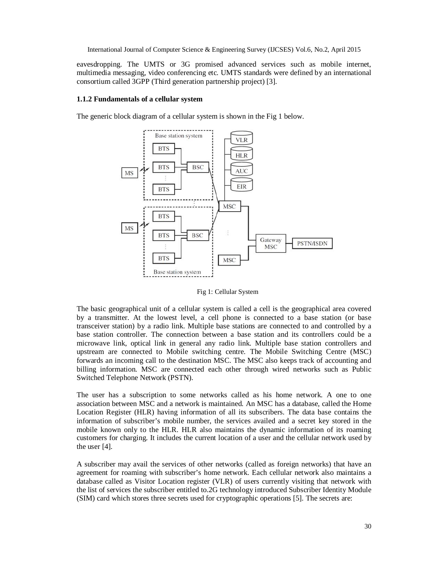eavesdropping. The UMTS or 3G promised advanced services such as mobile internet, multimedia messaging, video conferencing etc. UMTS standards were defined by an international consortium called 3GPP (Third generation partnership project) [3].

#### **1.1.2 Fundamentals of a cellular system**

The generic block diagram of a cellular system is shown in the Fig 1 below.



Fig 1: Cellular System

The basic geographical unit of a cellular system is called a cell is the geographical area covered by a transmitter. At the lowest level, a cell phone is connected to a base station (or base transceiver station) by a radio link. Multiple base stations are connected to and controlled by a base station controller. The connection between a base station and its controllers could be a microwave link, optical link in general any radio link. Multiple base station controllers and upstream are connected to Mobile switching centre. The Mobile Switching Centre (MSC) forwards an incoming call to the destination MSC. The MSC also keeps track of accounting and billing information. MSC are connected each other through wired networks such as Public Switched Telephone Network (PSTN).

The user has a subscription to some networks called as his home network. A one to one association between MSC and a network is maintained. An MSC has a database, called the Home Location Register (HLR) having information of all its subscribers. The data base contains the information of subscriber's mobile number, the services availed and a secret key stored in the mobile known only to the HLR. HLR also maintains the dynamic information of its roaming customers for charging. It includes the current location of a user and the cellular network used by the user [4].

A subscriber may avail the services of other networks (called as foreign networks) that have an agreement for roaming with subscriber's home network. Each cellular network also maintains a database called as Visitor Location register (VLR) of users currently visiting that network with the list of services the subscriber entitled to.2G technology introduced Subscriber Identity Module (SIM) card which stores three secrets used for cryptographic operations [5]. The secrets are: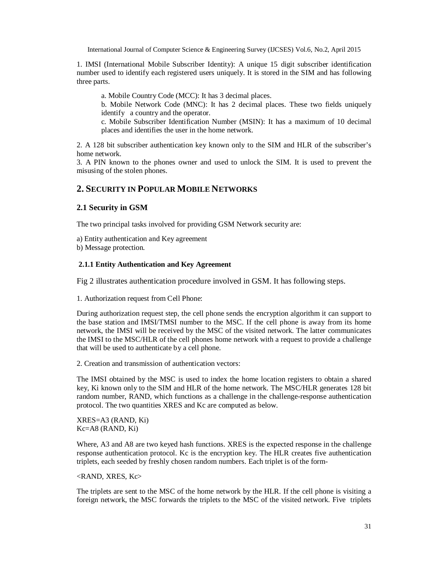1. IMSI (International Mobile Subscriber Identity): A unique 15 digit subscriber identification number used to identify each registered users uniquely. It is stored in the SIM and has following three parts.

a. Mobile Country Code (MCC): It has 3 decimal places.

b. Mobile Network Code (MNC): It has 2 decimal places. These two fields uniquely identify a country and the operator.

c. Mobile Subscriber Identification Number (MSIN): It has a maximum of 10 decimal places and identifies the user in the home network.

2. A 128 bit subscriber authentication key known only to the SIM and HLR of the subscriber's home network.

3. A PIN known to the phones owner and used to unlock the SIM. It is used to prevent the misusing of the stolen phones.

# **2. SECURITY IN POPULAR MOBILE NETWORKS**

## **2.1 Security in GSM**

The two principal tasks involved for providing GSM Network security are:

a) Entity authentication and Key agreement

b) Message protection.

### **2.1.1 Entity Authentication and Key Agreement**

Fig 2 illustrates authentication procedure involved in GSM. It has following steps.

1. Authorization request from Cell Phone:

During authorization request step, the cell phone sends the encryption algorithm it can support to the base station and IMSI/TMSI number to the MSC. If the cell phone is away from its home network, the IMSI will be received by the MSC of the visited network. The latter communicates the IMSI to the MSC/HLR of the cell phones home network with a request to provide a challenge that will be used to authenticate by a cell phone.

2. Creation and transmission of authentication vectors:

The IMSI obtained by the MSC is used to index the home location registers to obtain a shared key, Ki known only to the SIM and HLR of the home network. The MSC/HLR generates 128 bit random number, RAND, which functions as a challenge in the challenge-response authentication protocol. The two quantities XRES and Kc are computed as below.

XRES=A3 (RAND, Ki) Kc=A8 (RAND, Ki)

Where, A3 and A8 are two keyed hash functions. XRES is the expected response in the challenge response authentication protocol. Kc is the encryption key. The HLR creates five authentication triplets, each seeded by freshly chosen random numbers. Each triplet is of the form-

<RAND, XRES, Kc>

The triplets are sent to the MSC of the home network by the HLR. If the cell phone is visiting a foreign network, the MSC forwards the triplets to the MSC of the visited network. Five triplets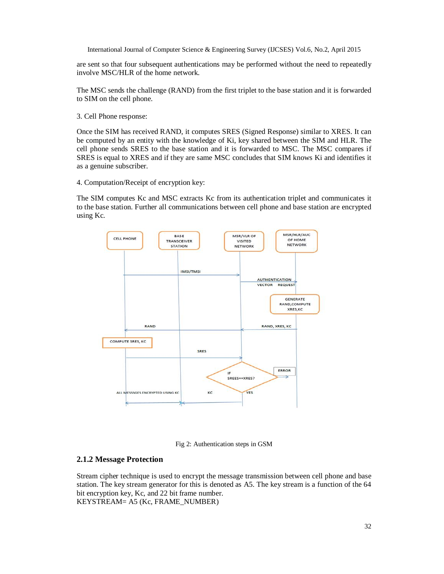are sent so that four subsequent authentications may be performed without the need to repeatedly involve MSC/HLR of the home network.

The MSC sends the challenge (RAND) from the first triplet to the base station and it is forwarded to SIM on the cell phone.

3. Cell Phone response:

Once the SIM has received RAND, it computes SRES (Signed Response) similar to XRES. It can be computed by an entity with the knowledge of Ki, key shared between the SIM and HLR. The cell phone sends SRES to the base station and it is forwarded to MSC. The MSC compares if SRES is equal to XRES and if they are same MSC concludes that SIM knows Ki and identifies it as a genuine subscriber.

4. Computation/Receipt of encryption key:

The SIM computes Kc and MSC extracts Kc from its authentication triplet and communicates it to the base station. Further all communications between cell phone and base station are encrypted using Kc.



Fig 2: Authentication steps in GSM

## **2.1.2 Message Protection**

Stream cipher technique is used to encrypt the message transmission between cell phone and base station. The key stream generator for this is denoted as A5. The key stream is a function of the 64 bit encryption key, Kc, and 22 bit frame number. KEYSTREAM= A5 (Kc, FRAME\_NUMBER)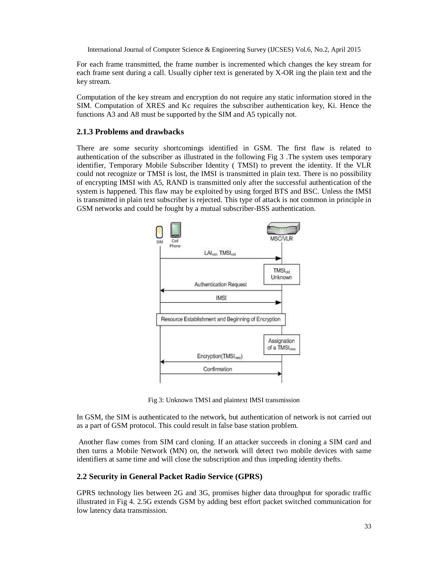For each frame transmitted, the frame number is incremented which changes the key stream for each frame sent during a call. Usually cipher text is generated by X-OR ing the plain text and the key stream.

Computation of the key stream and encryption do not require any static information stored in the SIM. Computation of XRES and Kc requires the subscriber authentication key, Ki. Hence the functions A3 and A8 must be supported by the SIM and A5 typically not.

### **2.1.3 Problems and drawbacks**

There are some security shortcomings identified in GSM. The first flaw is related to authentication of the subscriber as illustrated in the following Fig 3 .The system uses temporary identifier, Temporary Mobile Subscriber Identity ( TMSI) to prevent the identity. If the VLR could not recognize or TMSI is lost, the IMSI is transmitted in plain text. There is no possibility of encrypting IMSI with A5, RAND is transmitted only after the successful authentication of the system is happened. This flaw may be exploited by using forged BTS and BSC. Unless the IMSI is transmitted in plain text subscriber is rejected. This type of attack is not common in principle in GSM networks and could be fought by a mutual subscriber-BSS authentication.



Fig 3: Unknown TMSI and plaintext IMSI transmission

In GSM, the SIM is authenticated to the network, but authentication of network is not carried out as a part of GSM protocol. This could result in false base station problem.

Another flaw comes from SIM card cloning. If an attacker succeeds in cloning a SIM card and then turns a Mobile Network (MN) on, the network will detect two mobile devices with same identifiers at same time and will close the subscription and thus impeding identity thefts.

#### **2.2 Security in General Packet Radio Service (GPRS)**

GPRS technology lies between 2G and 3G, promises higher data throughput for sporadic traffic illustrated in Fig 4. 2.5G extends GSM by adding best effort packet switched communication for low latency data transmission.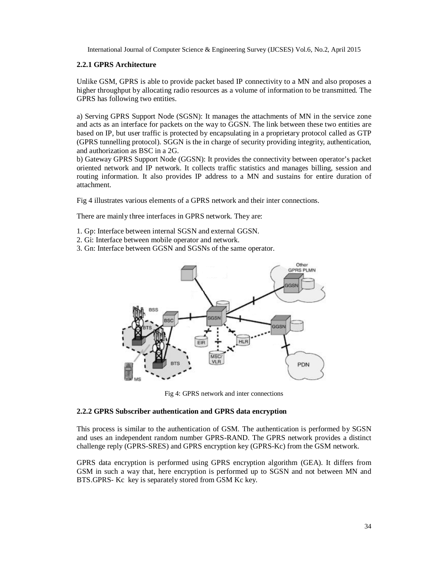#### **2.2.1 GPRS Architecture**

Unlike GSM, GPRS is able to provide packet based IP connectivity to a MN and also proposes a higher throughput by allocating radio resources as a volume of information to be transmitted. The GPRS has following two entities.

a) Serving GPRS Support Node (SGSN): It manages the attachments of MN in the service zone and acts as an interface for packets on the way to GGSN. The link between these two entities are based on IP, but user traffic is protected by encapsulating in a proprietary protocol called as GTP (GPRS tunnelling protocol). SGGN is the in charge of security providing integrity, authentication, and authorization as BSC in a 2G.

b) Gateway GPRS Support Node (GGSN): It provides the connectivity between operator's packet oriented network and IP network. It collects traffic statistics and manages billing, session and routing information. It also provides IP address to a MN and sustains for entire duration of attachment.

Fig 4 illustrates various elements of a GPRS network and their inter connections.

There are mainly three interfaces in GPRS network. They are:

- 1. Gp: Interface between internal SGSN and external GGSN.
- 2. Gi: Interface between mobile operator and network.
- 3. Gn: Interface between GGSN and SGSNs of the same operator.



Fig 4: GPRS network and inter connections

#### **2.2.2 GPRS Subscriber authentication and GPRS data encryption**

This process is similar to the authentication of GSM. The authentication is performed by SGSN and uses an independent random number GPRS-RAND. The GPRS network provides a distinct challenge reply (GPRS-SRES) and GPRS encryption key (GPRS-Kc) from the GSM network.

GPRS data encryption is performed using GPRS encryption algorithm (GEA). It differs from GSM in such a way that, here encryption is performed up to SGSN and not between MN and BTS.GPRS- Kc key is separately stored from GSM Kc key.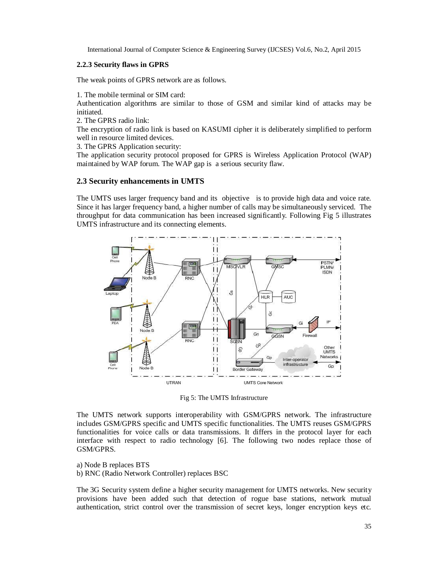#### **2.2.3 Security flaws in GPRS**

The weak points of GPRS network are as follows.

1. The mobile terminal or SIM card:

Authentication algorithms are similar to those of GSM and similar kind of attacks may be initiated.

2. The GPRS radio link:

The encryption of radio link is based on KASUMI cipher it is deliberately simplified to perform well in resource limited devices.

3. The GPRS Application security:

The application security protocol proposed for GPRS is Wireless Application Protocol (WAP) maintained by WAP forum. The WAP gap is a serious security flaw.

#### **2.3 Security enhancements in UMTS**

The UMTS uses larger frequency band and its objective is to provide high data and voice rate. Since it has larger frequency band, a higher number of calls may be simultaneously serviced. The throughput for data communication has been increased significantly. Following Fig 5 illustrates UMTS infrastructure and its connecting elements.



Fig 5: The UMTS Infrastructure

The UMTS network supports interoperability with GSM/GPRS network. The infrastructure includes GSM/GPRS specific and UMTS specific functionalities. The UMTS reuses GSM/GPRS functionalities for voice calls or data transmissions. It differs in the protocol layer for each interface with respect to radio technology [6]. The following two nodes replace those of GSM/GPRS.

a) Node B replaces BTS

b) RNC (Radio Network Controller) replaces BSC

The 3G Security system define a higher security management for UMTS networks. New security provisions have been added such that detection of rogue base stations, network mutual authentication, strict control over the transmission of secret keys, longer encryption keys etc.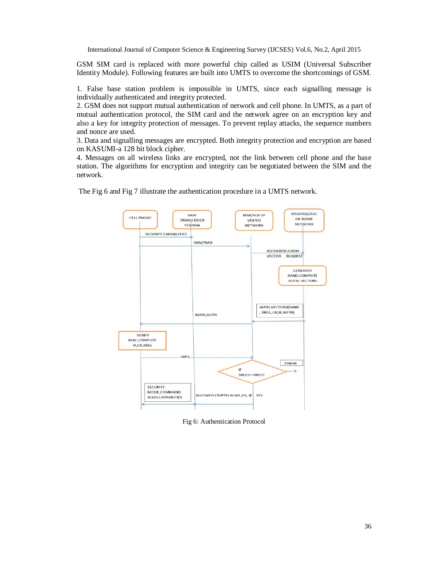GSM SIM card is replaced with more powerful chip called as USIM (Universal Subscriber Identity Module). Following features are built into UMTS to overcome the shortcomings of GSM.

1. False base station problem is impossible in UMTS, since each signalling message is individually authenticated and integrity protected.

2. GSM does not support mutual authentication of network and cell phone. In UMTS, as a part of mutual authentication protocol, the SIM card and the network agree on an encryption key and also a key for integrity protection of messages. To prevent replay attacks, the sequence numbers and nonce are used.

3. Data and signalling messages are encrypted. Both integrity protection and encryption are based on KASUMI-a 128 bit block cipher.

4. Messages on all wireless links are encrypted, not the link between cell phone and the base station. The algorithms for encryption and integrity can be negotiated between the SIM and the network.

> MSR/HLR/AUC MSR/VLR OF BASE **CELL PHONE TRANSCEIVER** OF HOME **VISITED** NETWORK **STATION NETWORK SECURITY CAPABILITIES IMSI/TMSI AUTHENTICATION VECTOR REQUEST GENERATE** RAND, COMPUTE **AUTH. VECTORS** AUTH.VECTORS(RAND XRES, CK, IK, AUTN) RAND, AUTN **VERIFY** MAC,COMPUTE IK, CK, XRES SRE FRROR SREES==YRES2 **SECURITY** MODE, COMMAND ALLOWED CRYPTO ALGO...CK. IK YES ALGO, CAPABILITIES

The Fig 6 and Fig 7 illustrate the authentication procedure in a UMTS network.

Fig 6: Authentication Protocol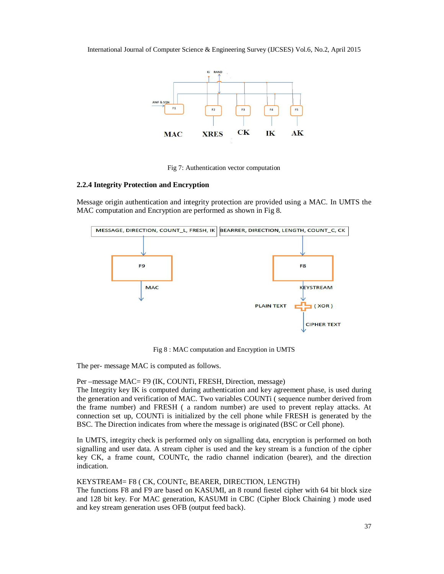

Fig 7: Authentication vector computation

#### **2.2.4 Integrity Protection and Encryption**

Message origin authentication and integrity protection are provided using a MAC. In UMTS the MAC computation and Encryption are performed as shown in Fig 8.



Fig 8 : MAC computation and Encryption in UMTS

The per- message MAC is computed as follows.

Per –message MAC= F9 (IK, COUNTi, FRESH, Direction, message)

The Integrity key IK is computed during authentication and key agreement phase, is used during the generation and verification of MAC. Two variables COUNTi ( sequence number derived from the frame number) and FRESH ( a random number) are used to prevent replay attacks. At connection set up, COUNTi is initialized by the cell phone while FRESH is generated by the BSC. The Direction indicates from where the message is originated (BSC or Cell phone).

In UMTS, integrity check is performed only on signalling data, encryption is performed on both signalling and user data. A stream cipher is used and the key stream is a function of the cipher key CK, a frame count, COUNTc, the radio channel indication (bearer), and the direction indication.

#### KEYSTREAM= F8 ( CK, COUNTc, BEARER, DIRECTION, LENGTH)

The functions F8 and F9 are based on KASUMI, an 8 round fiestel cipher with 64 bit block size and 128 bit key. For MAC generation, KASUMI in CBC (Cipher Block Chaining ) mode used and key stream generation uses OFB (output feed back).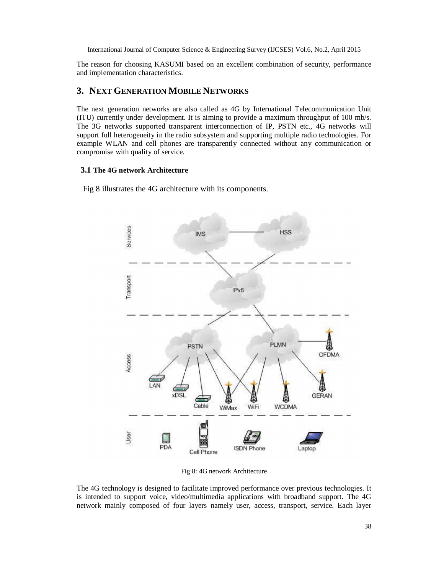The reason for choosing KASUMI based on an excellent combination of security, performance and implementation characteristics.

## **3. NEXT GENERATION MOBILE NETWORKS**

The next generation networks are also called as 4G by International Telecommunication Unit (ITU) currently under development. It is aiming to provide a maximum throughput of 100 mb/s. The 3G networks supported transparent interconnection of IP, PSTN etc., 4G networks will support full heterogeneity in the radio subsystem and supporting multiple radio technologies. For example WLAN and cell phones are transparently connected without any communication or compromise with quality of service.

#### **3.1 The 4G network Architecture**

Fig 8 illustrates the 4G architecture with its components.



Fig 8: 4G network Architecture

The 4G technology is designed to facilitate improved performance over previous technologies. It is intended to support voice, video/multimedia applications with broadband support. The 4G network mainly composed of four layers namely user, access, transport, service. Each layer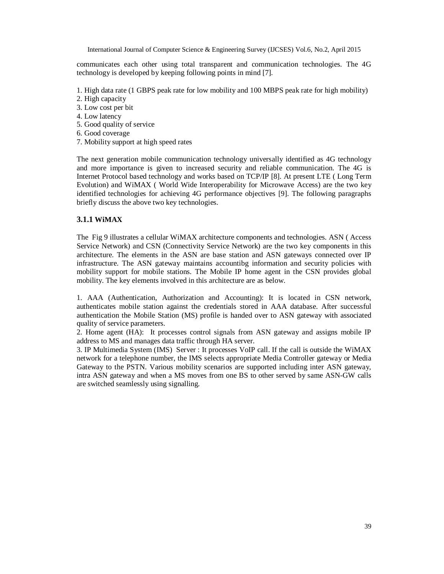communicates each other using total transparent and communication technologies. The 4G technology is developed by keeping following points in mind [7].

- 1. High data rate (1 GBPS peak rate for low mobility and 100 MBPS peak rate for high mobility)
- 2. High capacity
- 3. Low cost per bit
- 4. Low latency
- 5. Good quality of service
- 6. Good coverage
- 7. Mobility support at high speed rates

The next generation mobile communication technology universally identified as 4G technology and more importance is given to increased security and reliable communication. The 4G is Internet Protocol based technology and works based on TCP/IP [8]. At present LTE ( Long Term Evolution) and WiMAX ( World Wide Interoperability for Microwave Access) are the two key identified technologies for achieving 4G performance objectives [9]. The following paragraphs briefly discuss the above two key technologies.

#### **3.1.1 WiMAX**

The Fig 9 illustrates a cellular WiMAX architecture components and technologies. ASN ( Access Service Network) and CSN (Connectivity Service Network) are the two key components in this architecture. The elements in the ASN are base station and ASN gateways connected over IP infrastructure. The ASN gateway maintains accountibg information and security policies with mobility support for mobile stations. The Mobile IP home agent in the CSN provides global mobility. The key elements involved in this architecture are as below.

1. AAA (Authentication, Authorization and Accounting): It is located in CSN network, authenticates mobile station against the credentials stored in AAA database. After successful authentication the Mobile Station (MS) profile is handed over to ASN gateway with associated quality of service parameters.

2. Home agent (HA): It processes control signals from ASN gateway and assigns mobile IP address to MS and manages data traffic through HA server.

3. IP Multimedia System (IMS) Server : It processes VoIP call. If the call is outside the WiMAX network for a telephone number, the IMS selects appropriate Media Controller gateway or Media Gateway to the PSTN. Various mobility scenarios are supported including inter ASN gateway, intra ASN gateway and when a MS moves from one BS to other served by same ASN-GW calls are switched seamlessly using signalling.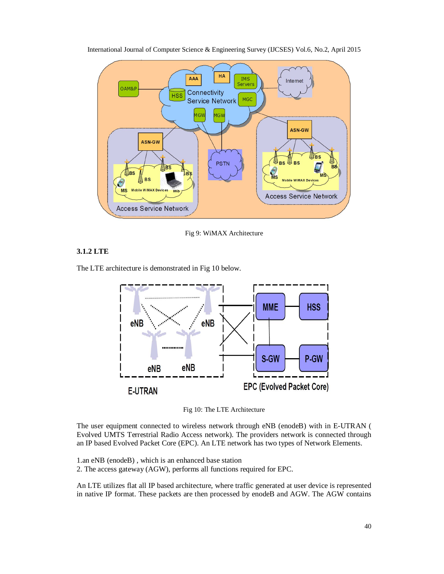

International Journal of Computer Science & Engineering Survey (IJCSES) Vol.6, No.2, April 2015

Fig 9: WiMAX Architecture

## **3.1.2 LTE**

The LTE architecture is demonstrated in Fig 10 below.



Fig 10: The LTE Architecture

The user equipment connected to wireless network through eNB (enodeB) with in E-UTRAN ( Evolved UMTS Terrestrial Radio Access network). The providers network is connected through an IP based Evolved Packet Core (EPC). An LTE network has two types of Network Elements.

1.an eNB (enodeB) , which is an enhanced base station 2. The access gateway (AGW), performs all functions required for EPC.

An LTE utilizes flat all IP based architecture, where traffic generated at user device is represented in native IP format. These packets are then processed by enodeB and AGW. The AGW contains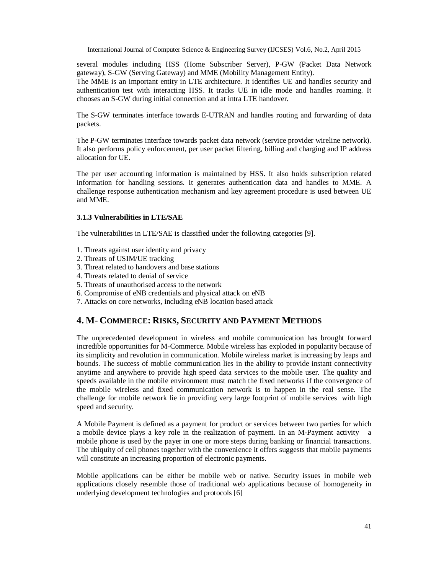several modules including HSS (Home Subscriber Server), P-GW (Packet Data Network gateway), S-GW (Serving Gateway) and MME (Mobility Management Entity).

The MME is an important entity in LTE architecture. It identifies UE and handles security and authentication test with interacting HSS. It tracks UE in idle mode and handles roaming. It chooses an S-GW during initial connection and at intra LTE handover.

The S-GW terminates interface towards E-UTRAN and handles routing and forwarding of data packets.

The P-GW terminates interface towards packet data network (service provider wireline network). It also performs policy enforcement, per user packet filtering, billing and charging and IP address allocation for UE.

The per user accounting information is maintained by HSS. It also holds subscription related information for handling sessions. It generates authentication data and handles to MME. A challenge response authentication mechanism and key agreement procedure is used between UE and MME.

#### **3.1.3 Vulnerabilities in LTE/SAE**

The vulnerabilities in LTE/SAE is classified under the following categories [9].

- 1. Threats against user identity and privacy
- 2. Threats of USIM/UE tracking
- 3. Threat related to handovers and base stations
- 4. Threats related to denial of service
- 5. Threats of unauthorised access to the network
- 6. Compromise of eNB credentials and physical attack on eNB
- 7. Attacks on core networks, including eNB location based attack

## **4. M- COMMERCE: RISKS, SECURITY AND PAYMENT METHODS**

The unprecedented development in wireless and mobile communication has brought forward incredible opportunities for M-Commerce. Mobile wireless has exploded in popularity because of its simplicity and revolution in communication. Mobile wireless market is increasing by leaps and bounds. The success of mobile communication lies in the ability to provide instant connectivity anytime and anywhere to provide high speed data services to the mobile user. The quality and speeds available in the mobile environment must match the fixed networks if the convergence of the mobile wireless and fixed communication network is to happen in the real sense. The challenge for mobile network lie in providing very large footprint of mobile services with high speed and security.

A Mobile Payment is defined as a payment for product or services between two parties for which a mobile device plays a key role in the realization of payment. In an M-Payment activity a mobile phone is used by the payer in one or more steps during banking or financial transactions. The ubiquity of cell phones together with the convenience it offers suggests that mobile payments will constitute an increasing proportion of electronic payments.

Mobile applications can be either be mobile web or native. Security issues in mobile web applications closely resemble those of traditional web applications because of homogeneity in underlying development technologies and protocols [6]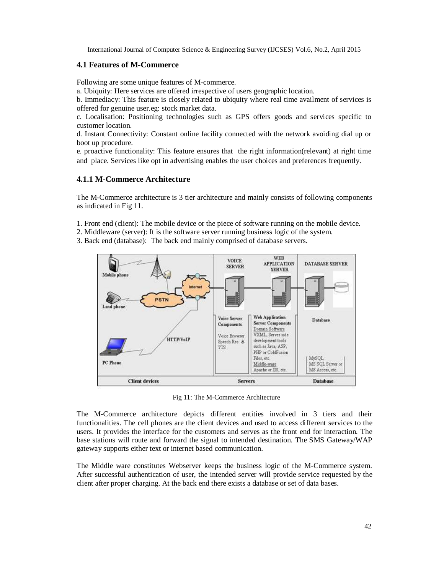## **4.1 Features of M-Commerce**

Following are some unique features of M-commerce.

a. Ubiquity: Here services are offered irrespective of users geographic location.

b. Immediacy: This feature is closely related to ubiquity where real time availment of services is offered for genuine user.eg: stock market data.

c. Localisation: Positioning technologies such as GPS offers goods and services specific to customer location.

d. Instant Connectivity: Constant online facility connected with the network avoiding dial up or boot up procedure.

e. proactive functionality: This feature ensures that the right information(relevant) at right time and place. Services like opt in advertising enables the user choices and preferences frequently.

## **4.1.1 M-Commerce Architecture**

The M-Commerce architecture is 3 tier architecture and mainly consists of following components as indicated in Fig 11.

1. Front end (client): The mobile device or the piece of software running on the mobile device.

2. Middleware (server): It is the software server running business logic of the system.

3. Back end (database): The back end mainly comprised of database servers.



Fig 11: The M-Commerce Architecture

The M-Commerce architecture depicts different entities involved in 3 tiers and their functionalities. The cell phones are the client devices and used to access different services to the users. It provides the interface for the customers and serves as the front end for interaction. The base stations will route and forward the signal to intended destination. The SMS Gateway/WAP gateway supports either text or internet based communication.

The Middle ware constitutes Webserver keeps the business logic of the M-Commerce system. After successful authentication of user, the intended server will provide service requested by the client after proper charging. At the back end there exists a database or set of data bases.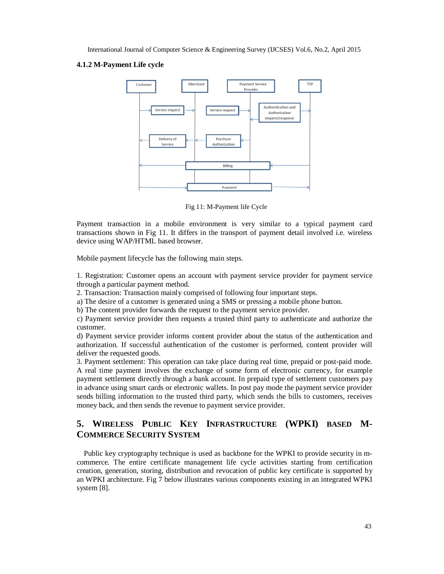#### **4.1.2 M-Payment Life cycle**



Fig 11: M-Payment life Cycle

Payment transaction in a mobile environment is very similar to a typical payment card transactions shown in Fig 11. It differs in the transport of payment detail involved i.e. wireless device using WAP/HTML based browser.

Mobile payment lifecycle has the following main steps.

1. Registration: Customer opens an account with payment service provider for payment service through a particular payment method.

2. Transaction: Transaction mainly comprised of following four important steps.

a) The desire of a customer is generated using a SMS or pressing a mobile phone button.

b) The content provider forwards the request to the payment service provider.

c) Payment service provider then requests a trusted third party to authenticate and authorize the customer.

d) Payment service provider informs content provider about the status of the authentication and authorization. If successful authentication of the customer is performed, content provider will deliver the requested goods.

3. Payment settlement: This operation can take place during real time, prepaid or post-paid mode. A real time payment involves the exchange of some form of electronic currency, for example payment settlement directly through a bank account. In prepaid type of settlement customers pay in advance using smart cards or electronic wallets. In post pay mode the payment service provider sends billing information to the trusted third party, which sends the bills to customers, receives money back, and then sends the revenue to payment service provider.

## **5. WIRELESS PUBLIC KEY INFRASTRUCTURE (WPKI) BASED M-COMMERCE SECURITY SYSTEM**

 Public key cryptography technique is used as backbone for the WPKI to provide security in mcommerce. The entire certificate management life cycle activities starting from certification creation, generation, storing, distribution and revocation of public key certificate is supported by an WPKI architecture. Fig 7 below illustrates various components existing in an integrated WPKI system [8].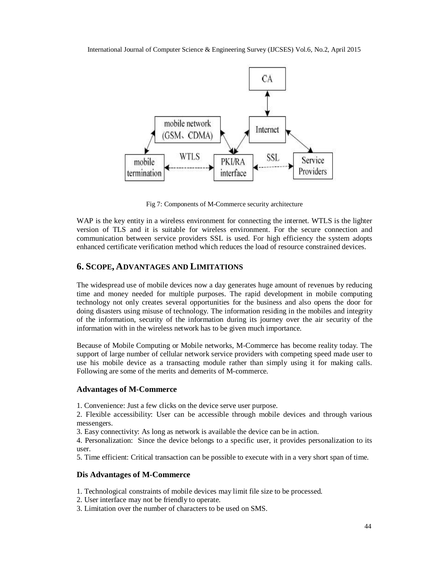

Fig 7: Components of M-Commerce security architecture

WAP is the key entity in a wireless environment for connecting the internet. WTLS is the lighter version of TLS and it is suitable for wireless environment. For the secure connection and communication between service providers SSL is used. For high efficiency the system adopts enhanced certificate verification method which reduces the load of resource constrained devices.

## **6. SCOPE, ADVANTAGES AND LIMITATIONS**

The widespread use of mobile devices now a day generates huge amount of revenues by reducing time and money needed for multiple purposes. The rapid development in mobile computing technology not only creates several opportunities for the business and also opens the door for doing disasters using misuse of technology. The information residing in the mobiles and integrity of the information, security of the information during its journey over the air security of the information with in the wireless network has to be given much importance.

Because of Mobile Computing or Mobile networks, M-Commerce has become reality today. The support of large number of cellular network service providers with competing speed made user to use his mobile device as a transacting module rather than simply using it for making calls. Following are some of the merits and demerits of M-commerce.

#### **Advantages of M-Commerce**

1. Convenience: Just a few clicks on the device serve user purpose.

2. Flexible accessibility: User can be accessible through mobile devices and through various messengers.

3. Easy connectivity: As long as network is available the device can be in action.

4. Personalization: Since the device belongs to a specific user, it provides personalization to its user.

5. Time efficient: Critical transaction can be possible to execute with in a very short span of time.

#### **Dis Advantages of M-Commerce**

- 1. Technological constraints of mobile devices may limit file size to be processed.
- 2. User interface may not be friendly to operate.
- 3. Limitation over the number of characters to be used on SMS.